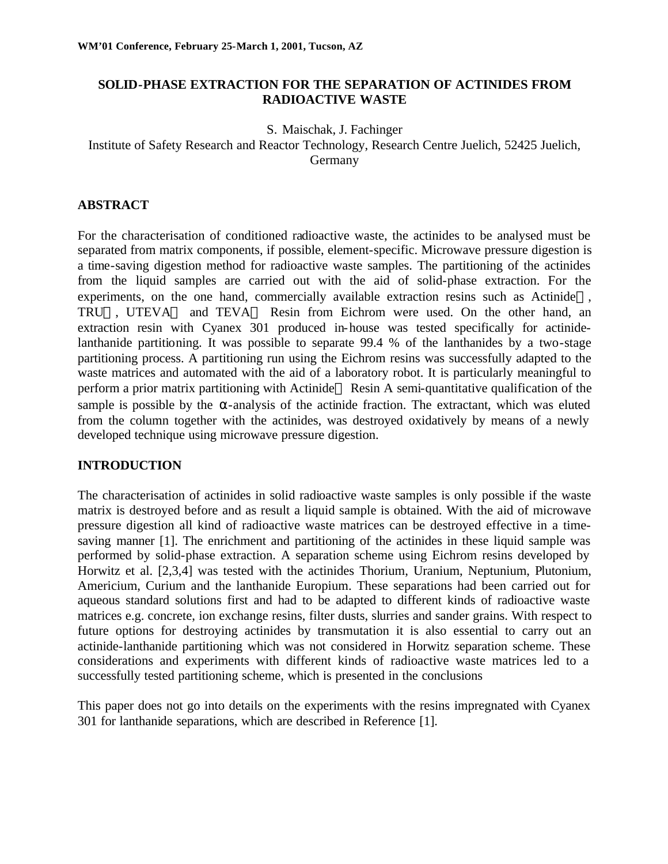### **SOLID-PHASE EXTRACTION FOR THE SEPARATION OF ACTINIDES FROM RADIOACTIVE WASTE**

S. Maischak, J. Fachinger

Institute of Safety Research and Reactor Technology, Research Centre Juelich, 52425 Juelich, Germany

### **ABSTRACT**

For the characterisation of conditioned radioactive waste, the actinides to be analysed must be separated from matrix components, if possible, element-specific. Microwave pressure digestion is a time-saving digestion method for radioactive waste samples. The partitioning of the actinides from the liquid samples are carried out with the aid of solid-phase extraction. For the experiments, on the one hand, commercially available extraction resins such as Actinide<sup>TM</sup>, TRU<sup>IM</sup>, UTEVA<sup>IM</sup> and TEVA<sup>IM</sup> Resin from Eichrom were used. On the other hand, an extraction resin with Cyanex 301 produced in-house was tested specifically for actinidelanthanide partitioning. It was possible to separate 99.4 % of the lanthanides by a two-stage partitioning process. A partitioning run using the Eichrom resins was successfully adapted to the waste matrices and automated with the aid of a laboratory robot. It is particularly meaningful to perform a prior matrix partitioning with Actinide<sup>™</sup> Resin A semi-quantitative qualification of the sample is possible by the  $\alpha$ -analysis of the actinide fraction. The extractant, which was eluted from the column together with the actinides, was destroyed oxidatively by means of a newly developed technique using microwave pressure digestion.

# **INTRODUCTION**

The characterisation of actinides in solid radioactive waste samples is only possible if the waste matrix is destroyed before and as result a liquid sample is obtained. With the aid of microwave pressure digestion all kind of radioactive waste matrices can be destroyed effective in a timesaving manner [1]. The enrichment and partitioning of the actinides in these liquid sample was performed by solid-phase extraction. A separation scheme using Eichrom resins developed by Horwitz et al. [2,3,4] was tested with the actinides Thorium, Uranium, Neptunium, Plutonium, Americium, Curium and the lanthanide Europium. These separations had been carried out for aqueous standard solutions first and had to be adapted to different kinds of radioactive waste matrices e.g. concrete, ion exchange resins, filter dusts, slurries and sander grains. With respect to future options for destroying actinides by transmutation it is also essential to carry out an actinide-lanthanide partitioning which was not considered in Horwitz separation scheme. These considerations and experiments with different kinds of radioactive waste matrices led to a successfully tested partitioning scheme, which is presented in the conclusions

This paper does not go into details on the experiments with the resins impregnated with Cyanex 301 for lanthanide separations, which are described in Reference [1].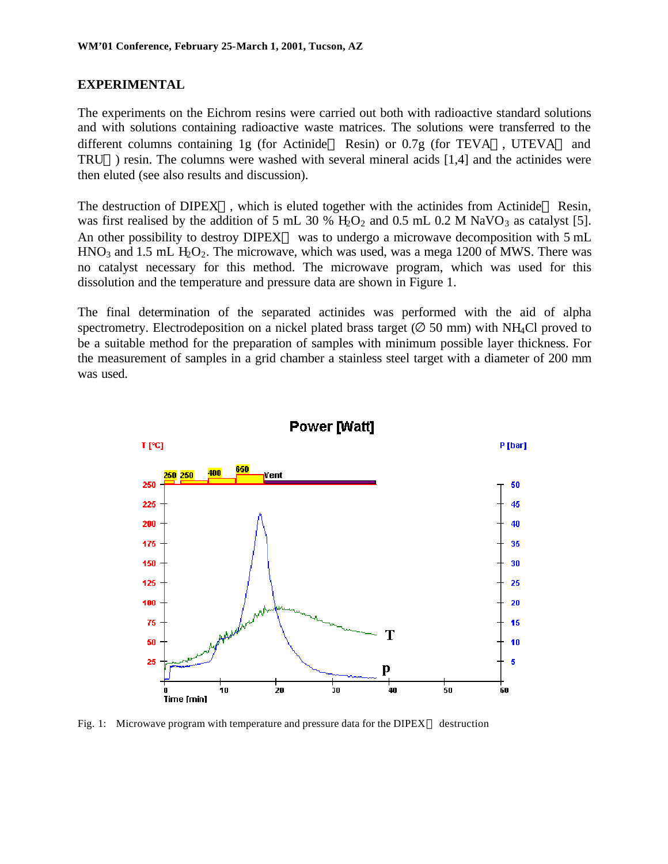#### **EXPERIMENTAL**

The experiments on the Eichrom resins were carried out both with radioactive standard solutions and with solutions containing radioactive waste matrices. The solutions were transferred to the different columns containing 1g (for Actinide<sup>TM</sup> Resin) or 0.7g (for TEVA<sup>TM</sup>, UTEVA<sup>TM</sup> and TRU<sup>IM</sup>) resin. The columns were washed with several mineral acids [1,4] and the actinides were then eluted (see also results and discussion).

The destruction of DIPEX<sup>TM</sup>, which is eluted together with the actinides from Actinide<sup>TM</sup> Resin, was first realised by the addition of 5 mL 30 %  $H_2O_2$  and 0.5 mL 0.2 M NaVO<sub>3</sub> as catalyst [5]. An other possibility to destroy DIPEX<sup>TM</sup> was to undergo a microwave decomposition with 5 mL  $HNO<sub>3</sub>$  and 1.5 mL  $H<sub>2</sub>O<sub>2</sub>$ . The microwave, which was used, was a mega 1200 of MWS. There was no catalyst necessary for this method. The microwave program, which was used for this dissolution and the temperature and pressure data are shown in Figure 1.

The final determination of the separated actinides was performed with the aid of alpha spectrometry. Electrodeposition on a nickel plated brass target ( $\varnothing$  50 mm) with NH<sub>4</sub>Cl proved to be a suitable method for the preparation of samples with minimum possible layer thickness. For the measurement of samples in a grid chamber a stainless steel target with a diameter of 200 mm was used.



Fig. 1: Microwave program with temperature and pressure data for the DIPEX<sup>TM</sup> destruction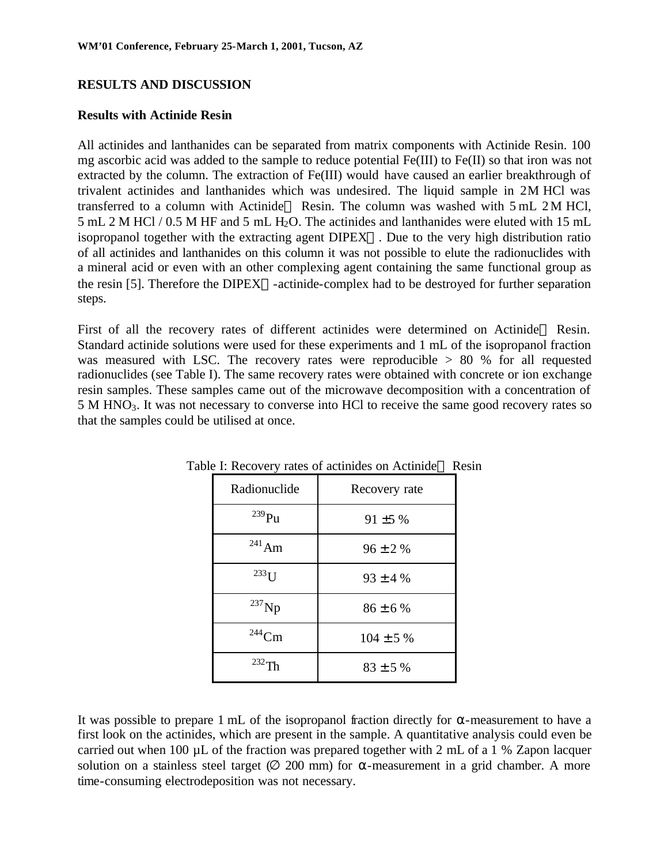## **RESULTS AND DISCUSSION**

#### **Results with Actinide Resin**

All actinides and lanthanides can be separated from matrix components with Actinide Resin. 100 mg ascorbic acid was added to the sample to reduce potential Fe(III) to Fe(II) so that iron was not extracted by the column. The extraction of Fe(III) would have caused an earlier breakthrough of trivalent actinides and lanthanides which was undesired. The liquid sample in 2M HCl was transferred to a column with Actinide<sup>TM</sup> Resin. The column was washed with  $5 \text{ mL } 2 \text{ M }$  HCl, 5 mL 2 M HCl / 0.5 M HF and 5 mL H2O. The actinides and lanthanides were eluted with 15 mL isopropanol together with the extracting agent  $DIPEX^{TM}$ . Due to the very high distribution ratio of all actinides and lanthanides on this column it was not possible to elute the radionuclides with a mineral acid or even with an other complexing agent containing the same functional group as the resin [5]. Therefore the DIPEX<sup>TM</sup>-actinide-complex had to be destroyed for further separation steps.

First of all the recovery rates of different actinides were determined on Actinide<sup>TM</sup> Resin. Standard actinide solutions were used for these experiments and 1 mL of the isopropanol fraction was measured with LSC. The recovery rates were reproducible  $> 80$  % for all requested radionuclides (see Table I). The same recovery rates were obtained with concrete or ion exchange resin samples. These samples came out of the microwave decomposition with a concentration of 5 M HNO3. It was not necessary to converse into HCl to receive the same good recovery rates so that the samples could be utilised at once.

| Radionuclide | Recovery rate  |
|--------------|----------------|
| $^{239}$ Pu  | $91 \pm 5 \%$  |
| $^{241}$ Am  | $96 \pm 2 \%$  |
| $^{233}$ I J | $93 \pm 4 \%$  |
| $^{237}$ Np  | $86 \pm 6 \%$  |
| $244$ Cm     | $104 \pm 5 \%$ |
| $232\sigma$  | $83 \pm 5 \%$  |

Table I: Recovery rates of actinides on Actinide™ Resin

It was possible to prepare 1 mL of the isopropanol fraction directly for  $\alpha$ -measurement to have a first look on the actinides, which are present in the sample. A quantitative analysis could even be carried out when 100 µL of the fraction was prepared together with 2 mL of a 1 % Zapon lacquer solution on a stainless steel target  $(Ø 200 \text{ mm})$  for  $\alpha$ -measurement in a grid chamber. A more time-consuming electrodeposition was not necessary.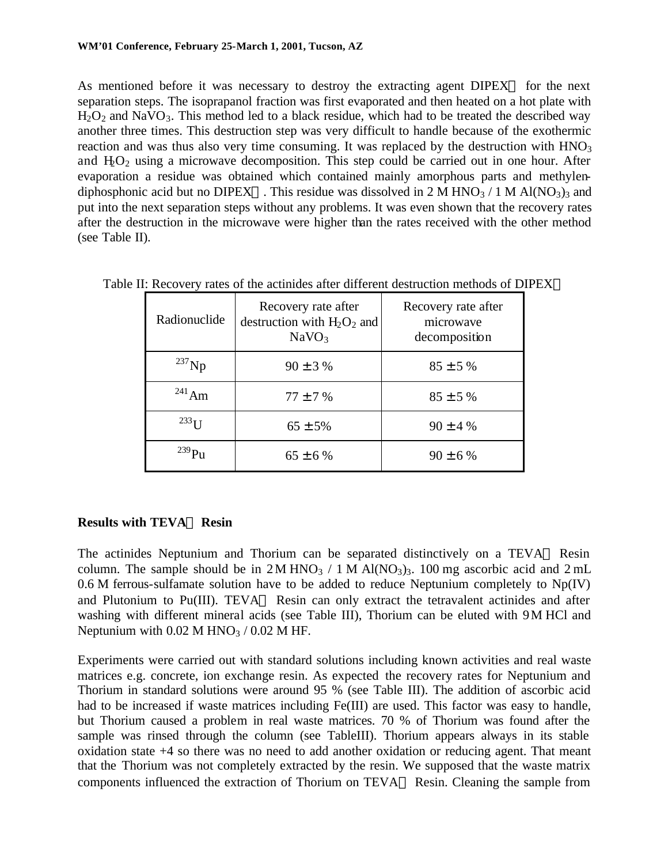As mentioned before it was necessary to destroy the extracting agent  $DIPEX^{TM}$  for the next separation steps. The isoprapanol fraction was first evaporated and then heated on a hot plate with  $H_2O_2$  and NaVO<sub>3</sub>. This method led to a black residue, which had to be treated the described way another three times. This destruction step was very difficult to handle because of the exothermic reaction and was thus also very time consuming. It was replaced by the destruction with  $HNO<sub>3</sub>$ and  $H_2O_2$  using a microwave decomposition. This step could be carried out in one hour. After evaporation a residue was obtained which contained mainly amorphous parts and methylendiphosphonic acid but no DIPEX<sup>TM</sup>. This residue was dissolved in 2 M HNO<sub>3</sub> / 1 M Al(NO<sub>3</sub>)<sub>3</sub> and put into the next separation steps without any problems. It was even shown that the recovery rates after the destruction in the microwave were higher than the rates received with the other method (see Table II).

| Radionuclide        | Recovery rate after<br>destruction with $H_2O_2$ and<br>NaVO <sub>3</sub> | Recovery rate after<br>microwave<br>decomposition |
|---------------------|---------------------------------------------------------------------------|---------------------------------------------------|
| $^{237}$ Np         | $90 \pm 3 \%$                                                             | $85 \pm 5 \%$                                     |
| $^{241}$ Am         | $77 \pm 7%$                                                               | $85 \pm 5 \%$                                     |
| $233$ <sub>II</sub> | $65 \pm 5\%$                                                              | $90 \pm 4 %$                                      |
| 239 <sub>D</sub>    | $65 \pm 6 \%$                                                             | $90 \pm 6 \%$                                     |

Table II: Recovery rates of the actinides after different destruction methods of DIPEX<sup>TM</sup>

# **Results with TEVAÔ Resin**

The actinides Neptunium and Thorium can be separated distinctively on a TEVA<sup> $M$ </sup> Resin column. The sample should be in  $2M HNO<sub>3</sub> / 1 M Al(NO<sub>3</sub>)<sub>3</sub>$ . 100 mg ascorbic acid and  $2 mL$  $0.6$  M ferrous-sulfamate solution have to be added to reduce Neptunium completely to  $Np(IV)$ and Plutonium to Pu(III). TEVA<sup>TM</sup> Resin can only extract the tetravalent actinides and after washing with different mineral acids (see Table III), Thorium can be eluted with 9M HCl and Neptunium with  $0.02$  M HNO<sub>3</sub> /  $0.02$  M HF.

Experiments were carried out with standard solutions including known activities and real waste matrices e.g. concrete, ion exchange resin. As expected the recovery rates for Neptunium and Thorium in standard solutions were around 95 % (see Table III). The addition of ascorbic acid had to be increased if waste matrices including Fe(III) are used. This factor was easy to handle, but Thorium caused a problem in real waste matrices. 70 % of Thorium was found after the sample was rinsed through the column (see TableIII). Thorium appears always in its stable oxidation state +4 so there was no need to add another oxidation or reducing agent. That meant that the Thorium was not completely extracted by the resin. We supposed that the waste matrix components influenced the extraction of Thorium on TEVA<sup>TM</sup> Resin. Cleaning the sample from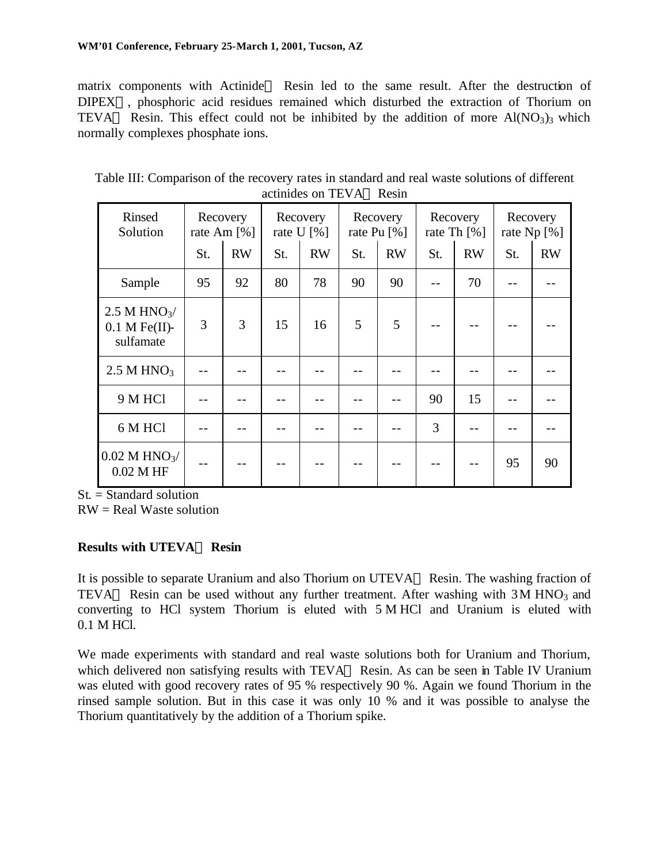matrix components with Actinide<sup>TM</sup> Resin led to the same result. After the destruction of DIPEX<sup>TM</sup>, phosphoric acid residues remained which disturbed the extraction of Thorium on TEVA<sup>TM</sup> Resin. This effect could not be inhibited by the addition of more  $Al(NO<sub>3</sub>)<sub>3</sub>$  which normally complexes phosphate ions.

| Rinsed<br>Solution                                      |     | Recovery<br>rate Am $[%]$ | Recovery<br>rate U $[%]$ |           | Recovery<br>rate Pu $\lceil \% \rceil$ |           | Recovery<br>rate Th $\lceil \% \rceil$ |           | Recovery<br>rate Np [%] |           |
|---------------------------------------------------------|-----|---------------------------|--------------------------|-----------|----------------------------------------|-----------|----------------------------------------|-----------|-------------------------|-----------|
|                                                         | St. | <b>RW</b>                 | St.                      | <b>RW</b> | St.                                    | <b>RW</b> | St.                                    | <b>RW</b> | St.                     | <b>RW</b> |
| Sample                                                  | 95  | 92                        | 80                       | 78        | 90                                     | 90        |                                        | 70        |                         |           |
| 2.5 M HNO $\frac{3}{2}$<br>$0.1$ M Fe(II)-<br>sulfamate | 3   | $\overline{3}$            | 15                       | 16        | 5                                      | 5         |                                        |           |                         |           |
| $2.5$ M HNO <sub>3</sub>                                |     |                           |                          |           |                                        |           |                                        |           |                         |           |
| 9 M HCl                                                 |     |                           |                          |           |                                        |           | 90                                     | 15        |                         |           |
| 6 M HCl                                                 |     |                           |                          |           |                                        |           | 3                                      |           |                         |           |
| $0.02$ M HNO <sub>3</sub> /<br>$0.02$ M HF              |     |                           |                          |           |                                        |           |                                        |           | 95                      | 90        |

Table III: Comparison of the recovery rates in standard and real waste solutions of different actinides on TEVA™ Resin

St. = Standard solution

RW = Real Waste solution

# **Results with UTEVAÔ Resin**

It is possible to separate Uranium and also Thorium on UTEVA<sup>TM</sup> Resin. The washing fraction of TEVA<sup>TM</sup> Resin can be used without any further treatment. After washing with  $3M HNO<sub>3</sub>$  and converting to HCl system Thorium is eluted with 5 M HCl and Uranium is eluted with 0.1 M HCl.

We made experiments with standard and real waste solutions both for Uranium and Thorium, which delivered non satisfying results with  $TEVA^{TM}$  Resin. As can be seen in Table IV Uranium was eluted with good recovery rates of 95 % respectively 90 %. Again we found Thorium in the rinsed sample solution. But in this case it was only 10 % and it was possible to analyse the Thorium quantitatively by the addition of a Thorium spike.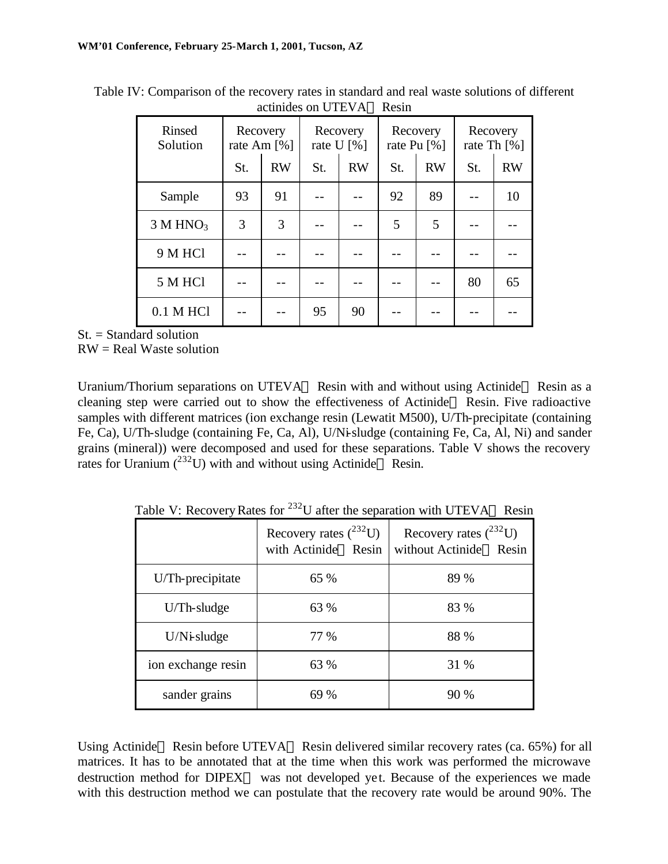| Rinsed<br>Solution   | Recovery<br>rate Am $[%]$ |           | Recovery<br>rate U $[%]$ |           | Recovery<br>rate Pu $\lceil\% \rceil$ |           | Recovery<br>rate Th $\lceil\% \rceil$ |           |
|----------------------|---------------------------|-----------|--------------------------|-----------|---------------------------------------|-----------|---------------------------------------|-----------|
|                      | St.                       | <b>RW</b> | St.                      | <b>RW</b> | St.                                   | <b>RW</b> | St.                                   | <b>RW</b> |
| Sample               | 93                        | 91        |                          |           | 92                                    | 89        |                                       | 10        |
| 3 M HNO <sub>3</sub> | 3                         | 3         |                          |           | 5                                     | 5         |                                       |           |
| 9 M HCl              |                           |           |                          |           |                                       |           |                                       |           |
| 5 M HCl              |                           |           |                          |           |                                       |           | 80                                    | 65        |
| $0.1$ M HCl          |                           |           | 95                       | 90        |                                       |           |                                       |           |

Table IV: Comparison of the recovery rates in standard and real waste solutions of different actinides on UTEVA<sup>TM</sup> Resin

 $St. = Standard$  solution

RW = Real Waste solution

Uranium/Thorium separations on UTEVA<sup>TM</sup> Resin with and without using Actinide<sup>TM</sup> Resin as a cleaning step were carried out to show the effectiveness of Actinide<sup>TM</sup> Resin. Five radioactive samples with different matrices (ion exchange resin (Lewatit M500), U/Th-precipitate (containing Fe, Ca), U/Th-sludge (containing Fe, Ca, Al), U/Ni-sludge (containing Fe, Ca, Al, Ni) and sander grains (mineral)) were decomposed and used for these separations. Table V shows the recovery rates for Uranium  $(^{232}U)$  with and without using Actinide<sup>TM</sup> Resin.

Table V: Recovery Rates for <sup>232</sup>U after the separation with UTEVA<sup>TM</sup> Resin

|                    | Recovery rates $(^{232}U)$<br>with Actinide™ Resin | Recovery rates $(^{232}U)$<br>without Actinide™ Resin |
|--------------------|----------------------------------------------------|-------------------------------------------------------|
| U/Th-precipitate   | 65 %                                               | 89 %                                                  |
| $U/Th$ -sludge     | 63 %                                               | 83 %                                                  |
| $U/N$ i-sludge     | 77 %                                               | 88 %                                                  |
| ion exchange resin | 63 %                                               | 31 %                                                  |
| sander grains      | 69 %                                               | 90 %                                                  |

Using Actinide<sup>TM</sup> Resin before UTEVA<sup>TM</sup> Resin delivered similar recovery rates (ca. 65%) for all matrices. It has to be annotated that at the time when this work was performed the microwave destruction method for  $DIPEX^{TM}$  was not developed yet. Because of the experiences we made with this destruction method we can postulate that the recovery rate would be around 90%. The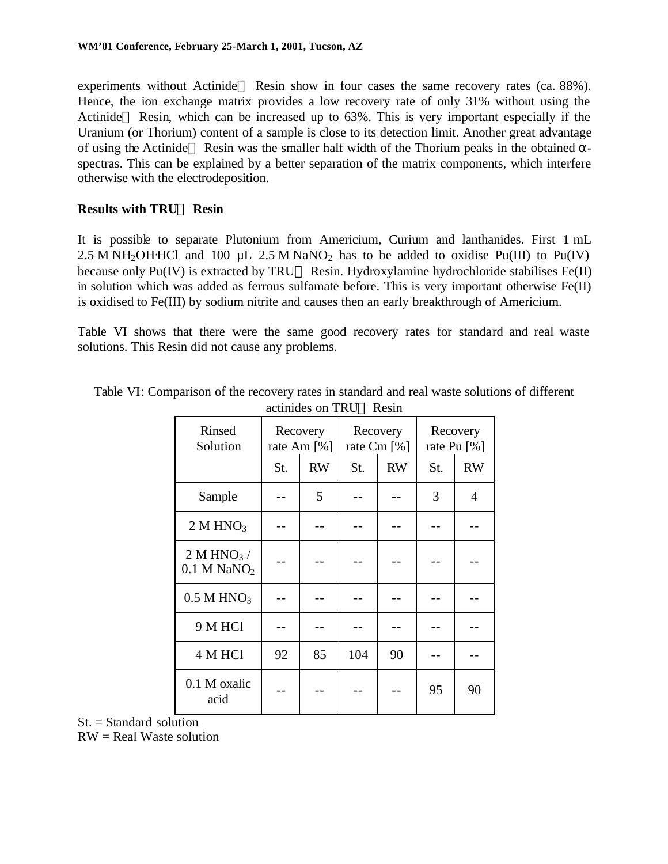experiments without Actinide<sup>TM</sup> Resin show in four cases the same recovery rates (ca.  $88\%$ ). Hence, the ion exchange matrix provides a low recovery rate of only 31% without using the Actinide<sup>TM</sup> Resin, which can be increased up to  $63\%$ . This is very important especially if the Uranium (or Thorium) content of a sample is close to its detection limit. Another great advantage of using the Actinide<sup>TM</sup> Resin was the smaller half width of the Thorium peaks in the obtained  $\alpha$ spectras. This can be explained by a better separation of the matrix components, which interfere otherwise with the electrodeposition.

## **Results with TRUÔ Resin**

It is possible to separate Plutonium from Americium, Curium and lanthanides. First 1 mL 2.5 M NH<sub>2</sub>OH⋅HCl and 100 µL 2.5 M NaNO<sub>2</sub> has to be added to oxidise Pu(III) to Pu(IV) because only Pu(IV) is extracted by TRU<sup>TM</sup> Resin. Hydroxylamine hydrochloride stabilises Fe(II) in solution which was added as ferrous sulfamate before. This is very important otherwise Fe(II) is oxidised to Fe(III) by sodium nitrite and causes then an early breakthrough of Americium.

Table VI shows that there were the same good recovery rates for standard and real waste solutions. This Resin did not cause any problems.

| <b>Rinsed</b><br>Solution                 | Recovery<br>rate Am [%] |           |     | Recovery<br>rate Cm [%] | Recovery<br>rate Pu [%] |           |  |
|-------------------------------------------|-------------------------|-----------|-----|-------------------------|-------------------------|-----------|--|
|                                           | St.                     | <b>RW</b> | St. | <b>RW</b>               | St.                     | <b>RW</b> |  |
| Sample                                    |                         | 5         |     |                         | 3                       | 4         |  |
| 2 M HNO <sub>3</sub>                      |                         |           |     |                         |                         |           |  |
| $2 M HNO3$ /<br>$0.1$ M NaNO <sub>2</sub> |                         |           |     |                         |                         |           |  |
| $0.5$ M HNO <sub>3</sub>                  |                         |           |     |                         |                         |           |  |
| 9 M HCl                                   |                         |           |     |                         |                         |           |  |
| 4 M HCl                                   | 92                      | 85        | 104 | 90                      |                         |           |  |
| 0.1 M oxalic<br>acid                      |                         |           |     |                         | 95                      | 90        |  |

Table VI: Comparison of the recovery rates in standard and real waste solutions of different actinides on TRU™ Resin

 $St. = Standard solution$ RW = Real Waste solution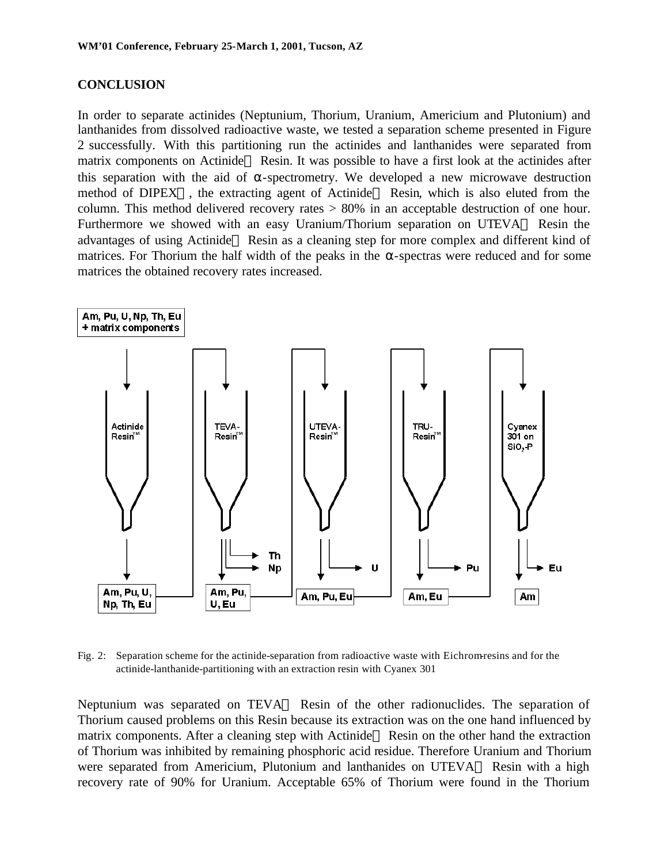#### **CONCLUSION**

In order to separate actinides (Neptunium, Thorium, Uranium, Americium and Plutonium) and lanthanides from dissolved radioactive waste, we tested a separation scheme presented in Figure 2 successfully. With this partitioning run the actinides and lanthanides were separated from matrix components on Actinide<sup>TM</sup> Resin. It was possible to have a first look at the actinides after this separation with the aid of  $\alpha$ -spectrometry. We developed a new microwave destruction method of DIPEX<sup>TM</sup>, the extracting agent of Actinide<sup>TM</sup> Resin, which is also eluted from the column. This method delivered recovery rates > 80% in an acceptable destruction of one hour. Furthermore we showed with an easy Uranium/Thorium separation on UTEVA<sup>TM</sup> Resin the advantages of using Actinide<sup>TM</sup> Resin as a cleaning step for more complex and different kind of matrices. For Thorium the half width of the peaks in the  $\alpha$ -spectras were reduced and for some matrices the obtained recovery rates increased.



Fig. 2: Separation scheme for the actinide-separation from radioactive waste with Eichrom-resins and for the actinide-lanthanide-partitioning with an extraction resin with Cyanex 301

Neptunium was separated on  $TEVA^{TM}$  Resin of the other radionuclides. The separation of Thorium caused problems on this Resin because its extraction was on the one hand influenced by matrix components. After a cleaning step with Actinide<sup>TM</sup> Resin on the other hand the extraction of Thorium was inhibited by remaining phosphoric acid residue. Therefore Uranium and Thorium were separated from Americium, Plutonium and lanthanides on  $UTEVA^{TM}$  Resin with a high recovery rate of 90% for Uranium. Acceptable 65% of Thorium were found in the Thorium